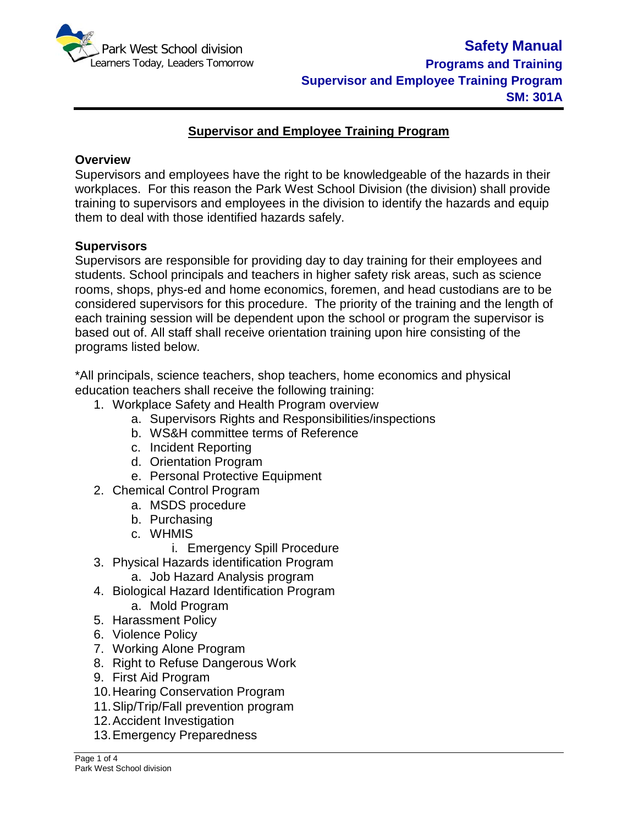

# **Supervisor and Employee Training Program**

### **Overview**

Supervisors and employees have the right to be knowledgeable of the hazards in their workplaces. For this reason the Park West School Division (the division) shall provide training to supervisors and employees in the division to identify the hazards and equip them to deal with those identified hazards safely.

### **Supervisors**

Supervisors are responsible for providing day to day training for their employees and students. School principals and teachers in higher safety risk areas, such as science rooms, shops, phys-ed and home economics, foremen, and head custodians are to be considered supervisors for this procedure. The priority of the training and the length of each training session will be dependent upon the school or program the supervisor is based out of. All staff shall receive orientation training upon hire consisting of the programs listed below.

\*All principals, science teachers, shop teachers, home economics and physical education teachers shall receive the following training:

- 1. Workplace Safety and Health Program overview
	- a. Supervisors Rights and Responsibilities/inspections
	- b. WS&H committee terms of Reference
	- c. Incident Reporting
	- d. Orientation Program
	- e. Personal Protective Equipment
- 2. Chemical Control Program
	- a. MSDS procedure
	- b. Purchasing
	- c. WHMIS
		- i. Emergency Spill Procedure
- 3. Physical Hazards identification Program
	- a. Job Hazard Analysis program
- 4. Biological Hazard Identification Program
	- a. Mold Program
- 5. Harassment Policy
- 6. Violence Policy
- 7. Working Alone Program
- 8. Right to Refuse Dangerous Work
- 9. First Aid Program
- 10.Hearing Conservation Program
- 11.Slip/Trip/Fall prevention program
- 12.Accident Investigation
- 13.Emergency Preparedness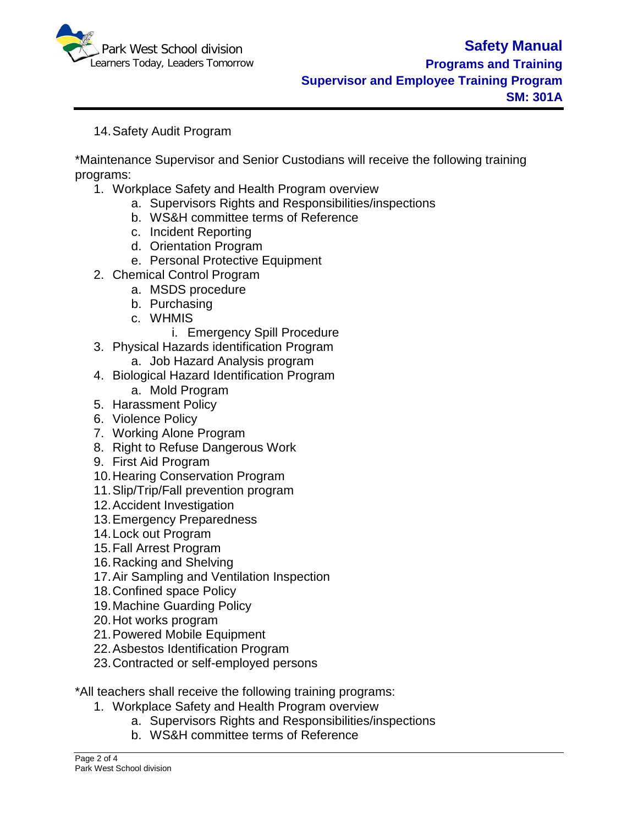

## 14.Safety Audit Program

\*Maintenance Supervisor and Senior Custodians will receive the following training programs:

- 1. Workplace Safety and Health Program overview
	- a. Supervisors Rights and Responsibilities/inspections
	- b. WS&H committee terms of Reference
	- c. Incident Reporting
	- d. Orientation Program
	- e. Personal Protective Equipment
- 2. Chemical Control Program
	- a. MSDS procedure
	- b. Purchasing
	- c. WHMIS
		- i. Emergency Spill Procedure
- 3. Physical Hazards identification Program
	- a. Job Hazard Analysis program
- 4. Biological Hazard Identification Program
- a. Mold Program
- 5. Harassment Policy
- 6. Violence Policy
- 7. Working Alone Program
- 8. Right to Refuse Dangerous Work
- 9. First Aid Program
- 10.Hearing Conservation Program
- 11.Slip/Trip/Fall prevention program
- 12.Accident Investigation
- 13.Emergency Preparedness
- 14.Lock out Program
- 15.Fall Arrest Program
- 16.Racking and Shelving
- 17.Air Sampling and Ventilation Inspection
- 18.Confined space Policy
- 19.Machine Guarding Policy
- 20.Hot works program
- 21.Powered Mobile Equipment
- 22.Asbestos Identification Program
- 23.Contracted or self-employed persons

\*All teachers shall receive the following training programs:

- 1. Workplace Safety and Health Program overview
	- a. Supervisors Rights and Responsibilities/inspections
	- b. WS&H committee terms of Reference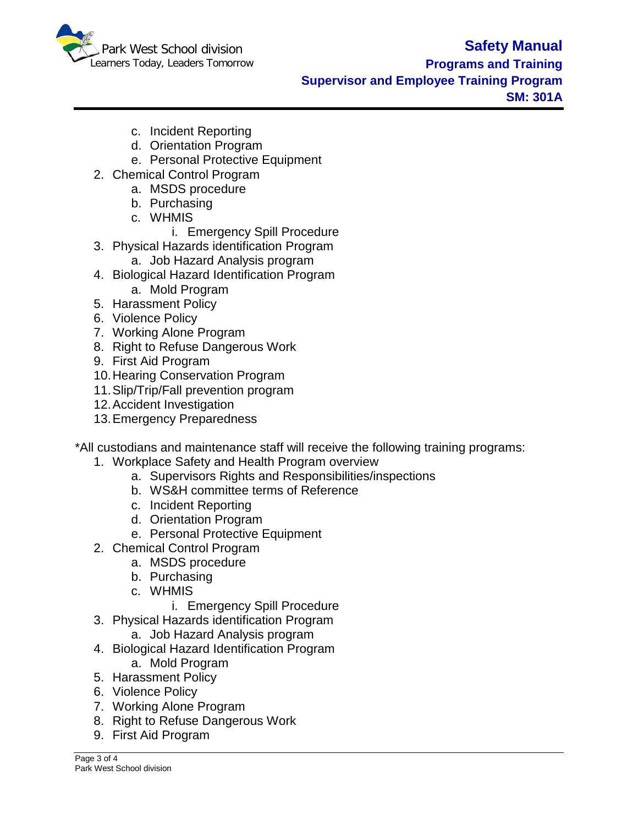

### **Programs and Training Supervisor and Employee Training Program SM: 301A**

- c. Incident Reporting
- d. Orientation Program
- e. Personal Protective Equipment
- 2. Chemical Control Program
	- a. MSDS procedure
	- b. Purchasing
	- c. WHMIS
		- i. Emergency Spill Procedure
- 3. Physical Hazards identification Program
	- a. Job Hazard Analysis program
- 4. Biological Hazard Identification Program
	- a. Mold Program
- 5. Harassment Policy
- 6. Violence Policy
- 7. Working Alone Program
- 8. Right to Refuse Dangerous Work
- 9. First Aid Program
- 10.Hearing Conservation Program
- 11.Slip/Trip/Fall prevention program
- 12.Accident Investigation
- 13.Emergency Preparedness

\*All custodians and maintenance staff will receive the following training programs:

- 1. Workplace Safety and Health Program overview
	- a. Supervisors Rights and Responsibilities/inspections
	- b. WS&H committee terms of Reference
	- c. Incident Reporting
	- d. Orientation Program
	- e. Personal Protective Equipment
- 2. Chemical Control Program
	- a. MSDS procedure
	- b. Purchasing
	- c. WHMIS
		- i. Emergency Spill Procedure
- 3. Physical Hazards identification Program
	- a. Job Hazard Analysis program
- 4. Biological Hazard Identification Program a. Mold Program
- 5. Harassment Policy
- 6. Violence Policy
- 7. Working Alone Program
- 8. Right to Refuse Dangerous Work
- 9. First Aid Program